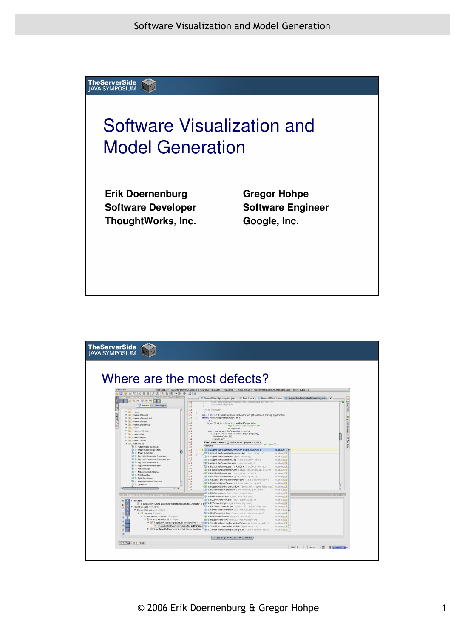

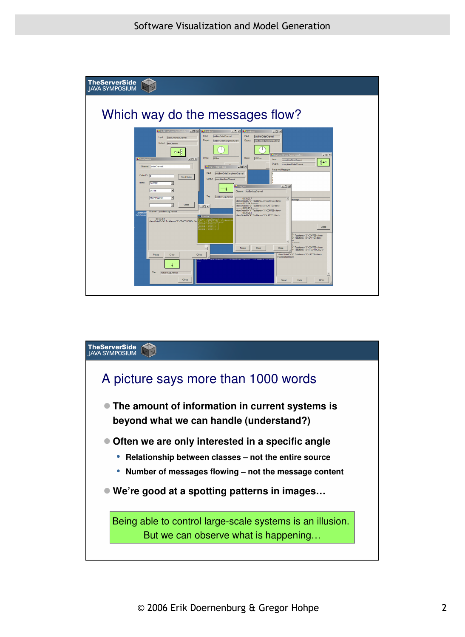

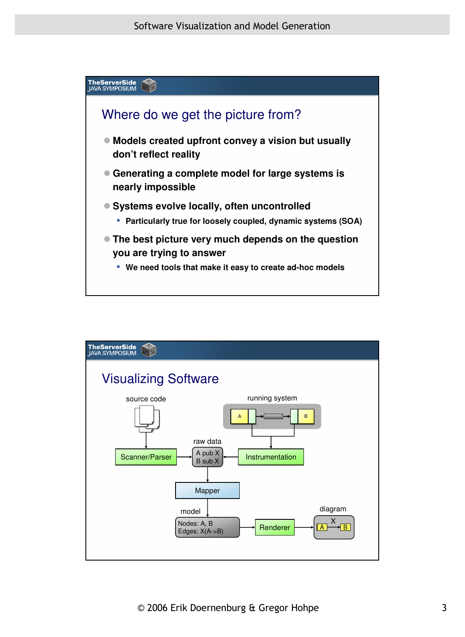

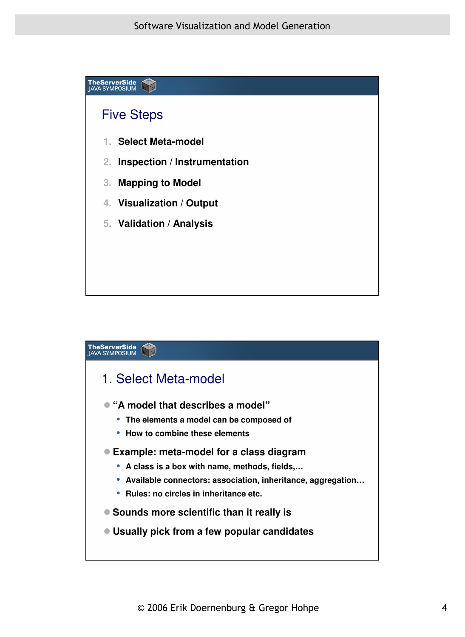

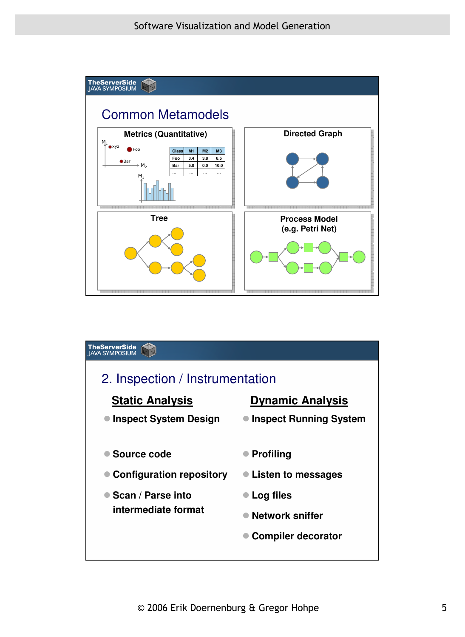

| <b>TheServerSide</b><br>IAVA SYMPOSIUM                                                       |                                                                               |
|----------------------------------------------------------------------------------------------|-------------------------------------------------------------------------------|
| 2. Inspection / Instrumentation<br><b>Static Analysis</b><br><b>Dynamic Analysis</b>         |                                                                               |
|                                                                                              |                                                                               |
| <b>Inspect System Design</b>                                                                 | <b>Inspect Running System</b>                                                 |
| Source code<br><b>Configuration repository</b><br>■ Scan / Parse into<br>intermediate format | <b>Profiling</b><br>Listen to messages<br>Log files<br><b>Network sniffer</b> |
|                                                                                              | <b>Compiler decorator</b>                                                     |
|                                                                                              |                                                                               |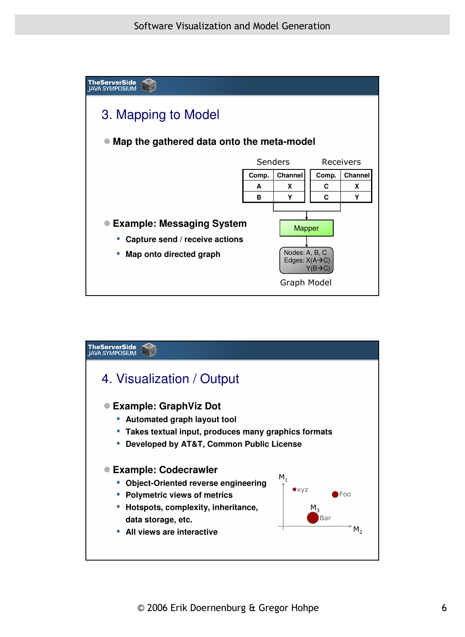

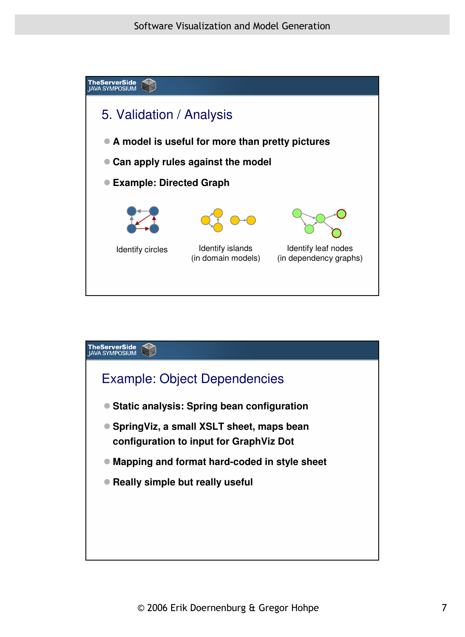

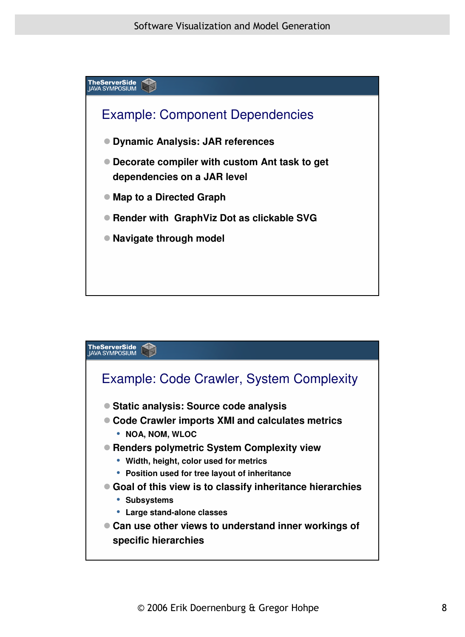

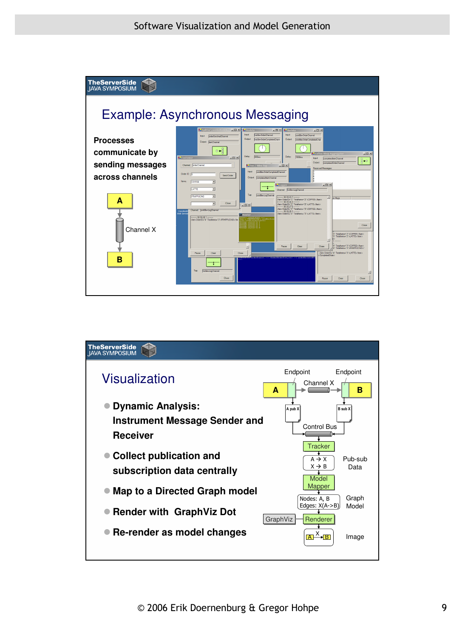

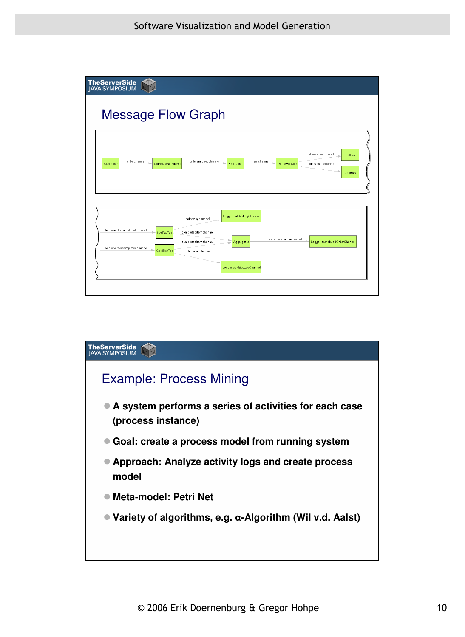

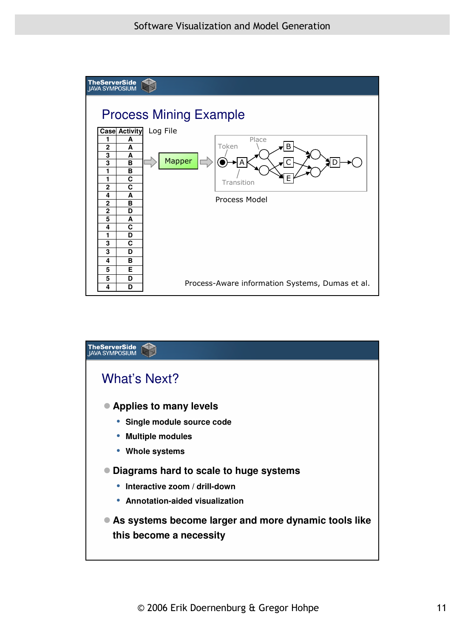